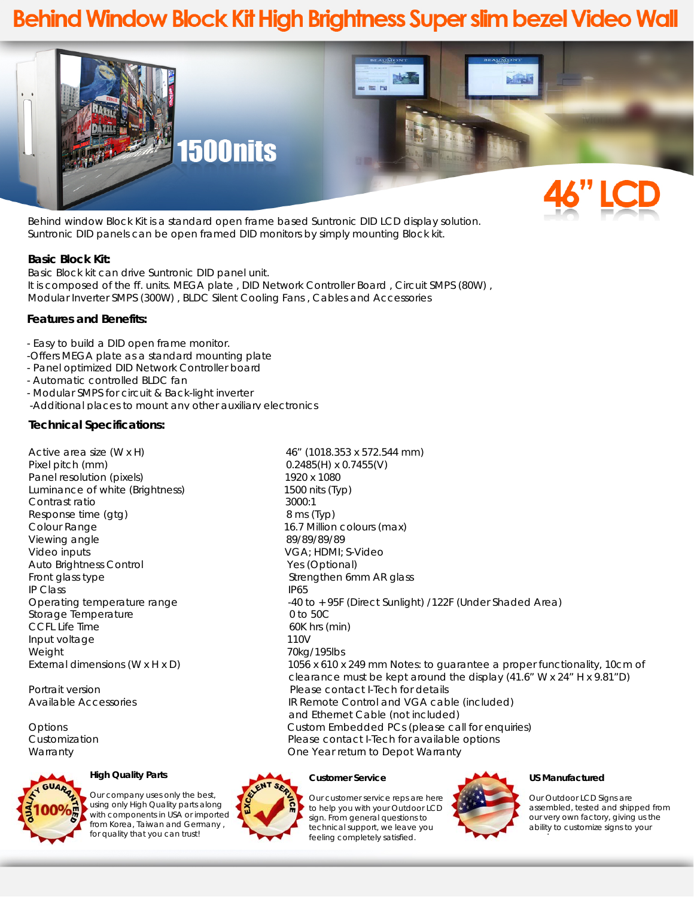# **Behind Window Block Kit High Brightness Super slim bezel Video Wall**



Behind window Block Kit is a standard open frame based Suntronic DID LCD display solution. Suntronic DID panels can be open framed DID monitors by simply mounting Block kit.

### **Basic Block Kit:**

Basic Block kit can drive Suntronic DID panel unit. It is composed of the ff. units. MEGA plate , DID Network Controller Board , Circuit SMPS (80W) , Modular Inverter SMPS (300W) , BLDC Silent Cooling Fans , Cables and Accessories

## **Features and Benefits:**

- Easy to build a DID open frame monitor.
- -Offers MEGA plate as a standard mounting plate
- Panel optimized DID Network Controller board
- Automatic controlled BLDC fan
- Modular SMPS for circuit & Back-light inverter
- -Additional places to mount any other auxiliary electronics

### **Technical Specifications:**

Active area size (W x H) 46" (1018.353 x 572.544 mm) Pixel pitch (mm) 0.2485(H) x 0.7455(V) Panel resolution (pixels) 1920 x 1080 Luminance of white (Brightness) 1500 nits (Typ) Contrast ratio 3000:1 Response time (gtg) 8 ms (Typ) Colour Range **16.7 Million colours (max)** Viewing angle 89/89/89/89 Video inputs VGA; HDMI; S-Video Auto Brightness Control The Control Yes (Optional) Front glass type Strengthen 6mm AR glass IP Class IP65 Storage Temperature 0 to 50C CCFL Life Time 60K hrs (min) Input voltage 110V Weight 70kg/195lbs



Our company uses only the best, using only High Quality parts along with components in USA or imported from Korea, Taiwan and Germany , for quality that you can trust!

Operating temperature range  $-40$  to +95F (Direct Sunlight) /122F (Under Shaded Area) External dimensions (W x H x D) 1056 x 610 x 249 mm Notes: to guarantee a proper functionality, 10cm of clearance must be kept around the display (41.6" W x 24" H x 9.81"D) Portrait version **Please contact I-Tech for details** Available Accessories IR Remote Control and VGA cable (included) and Ethernet Cable (not included) Options Custom Embedded PCs (please call for enquiries) Customization **Please contact I-Tech for available options** Please contact I-Tech for available options Warranty One Year return to Depot Warranty

#### **Customer Service**



#### **US Manufactured**

d

Our Outdoor LCD Signs are assembled, tested and shipped from our very own factory, giving us the ability to customize signs to your